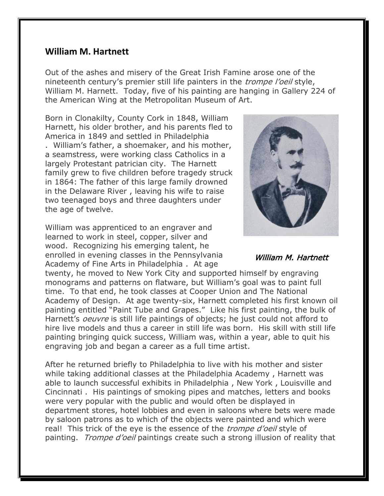## **William M. Hartnett**

Out of the ashes and misery of the Great Irish Famine arose one of the nineteenth century's premier still life painters in the *trompe l'oeil* style, William M. Harnett. Today, five of his painting are hanging in Gallery 224 of the American Wing at the Metropolitan Museum of Art.

Born in Clonakilty, County Cork in 1848, William Harnett, his older brother, and his parents fled to America in 1849 and settled in Philadelphia . William's father, a shoemaker, and his mother, a seamstress, were working class Catholics in a largely Protestant patrician city. The Harnett family grew to five children before tragedy struck in 1864: The father of this large family drowned in the Delaware River , leaving his wife to raise two teenaged boys and three daughters under the age of twelve.

William was apprenticed to an engraver and learned to work in steel, copper, silver and wood. Recognizing his emerging talent, he enrolled in evening classes in the Pennsylvania Academy of Fine Arts in Philadelphia . At age



William M. Hartnett

twenty, he moved to New York City and supported himself by engraving monograms and patterns on flatware, but William's goal was to paint full time. To that end, he took classes at Cooper Union and The National Academy of Design. At age twenty-six, Harnett completed his first known oil painting entitled "Paint Tube and Grapes." Like his first painting, the bulk of Harnett's *oeuvre* is still life paintings of objects; he just could not afford to hire live models and thus a career in still life was born. His skill with still life painting bringing quick success, William was, within a year, able to quit his engraving job and began a career as a full time artist.

After he returned briefly to Philadelphia to live with his mother and sister while taking additional classes at the Philadelphia Academy , Harnett was able to launch successful exhibits in Philadelphia , New York , Louisville and Cincinnati . His paintings of smoking pipes and matches, letters and books were very popular with the public and would often be displayed in department stores, hotel lobbies and even in saloons where bets were made by saloon patrons as to which of the objects were painted and which were real! This trick of the eye is the essence of the *trompe d'oeil* style of painting. *Trompe d'oeil* paintings create such a strong illusion of reality that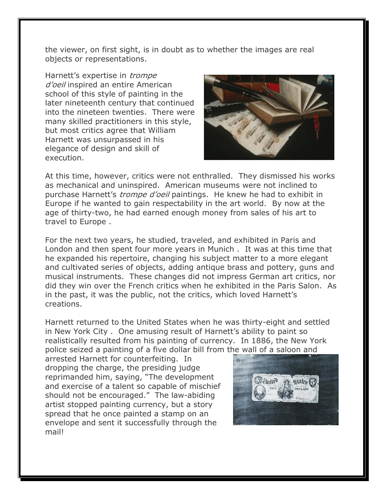the viewer, on first sight, is in doubt as to whether the images are real objects or representations.

Harnett's expertise in *trompe* d'oeil inspired an entire American school of this style of painting in the later nineteenth century that continued into the nineteen twenties. There were many skilled practitioners in this style, but most critics agree that William Harnett was unsurpassed in his elegance of design and skill of execution.



At this time, however, critics were not enthralled. They dismissed his works as mechanical and uninspired. American museums were not inclined to purchase Harnett's *trompe d'oeil* paintings. He knew he had to exhibit in Europe if he wanted to gain respectability in the art world. By now at the age of thirty-two, he had earned enough money from sales of his art to travel to Europe .

For the next two years, he studied, traveled, and exhibited in Paris and London and then spent four more years in Munich . It was at this time that he expanded his repertoire, changing his subject matter to a more elegant and cultivated series of objects, adding antique brass and pottery, guns and musical instruments. These changes did not impress German art critics, nor did they win over the French critics when he exhibited in the Paris Salon. As in the past, it was the public, not the critics, which loved Harnett's creations.

Harnett returned to the United States when he was thirty-eight and settled in New York City . One amusing result of Harnett's ability to paint so realistically resulted from his painting of currency. In 1886, the New York police seized a painting of a five dollar bill from the wall of a saloon and

arrested Harnett for counterfeiting. In dropping the charge, the presiding judge reprimanded him, saying, "The development and exercise of a talent so capable of mischief should not be encouraged." The law-abiding artist stopped painting currency, but a story spread that he once painted a stamp on an envelope and sent it successfully through the mail!

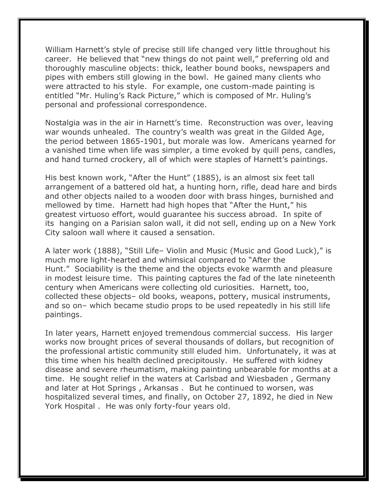William Harnett's style of precise still life changed very little throughout his career. He believed that "new things do not paint well," preferring old and thoroughly masculine objects: thick, leather bound books, newspapers and pipes with embers still glowing in the bowl. He gained many clients who were attracted to his style. For example, one custom-made painting is entitled "Mr. Huling's Rack Picture," which is composed of Mr. Huling's personal and professional correspondence.

Nostalgia was in the air in Harnett's time. Reconstruction was over, leaving war wounds unhealed. The country's wealth was great in the Gilded Age, the period between 1865-1901, but morale was low. Americans yearned for a vanished time when life was simpler, a time evoked by quill pens, candles, and hand turned crockery, all of which were staples of Harnett's paintings.

His best known work, "After the Hunt" (1885), is an almost six feet tall arrangement of a battered old hat, a hunting horn, rifle, dead hare and birds and other objects nailed to a wooden door with brass hinges, burnished and mellowed by time. Harnett had high hopes that "After the Hunt," his greatest virtuoso effort, would guarantee his success abroad. In spite of its hanging on a Parisian salon wall, it did not sell, ending up on a New York City saloon wall where it caused a sensation.

A later work (1888), "Still Life– Violin and Music (Music and Good Luck)," is much more light-hearted and whimsical compared to "After the Hunt." Sociability is the theme and the objects evoke warmth and pleasure in modest leisure time. This painting captures the fad of the late nineteenth century when Americans were collecting old curiosities. Harnett, too, collected these objects– old books, weapons, pottery, musical instruments, and so on– which became studio props to be used repeatedly in his still life paintings.

In later years, Harnett enjoyed tremendous commercial success. His larger works now brought prices of several thousands of dollars, but recognition of the professional artistic community still eluded him. Unfortunately, it was at this time when his health declined precipitously. He suffered with kidney disease and severe rheumatism, making painting unbearable for months at a time. He sought relief in the waters at Carlsbad and Wiesbaden , Germany and later at Hot Springs , Arkansas . But he continued to worsen, was hospitalized several times, and finally, on October 27, 1892, he died in New York Hospital . He was only forty-four years old.